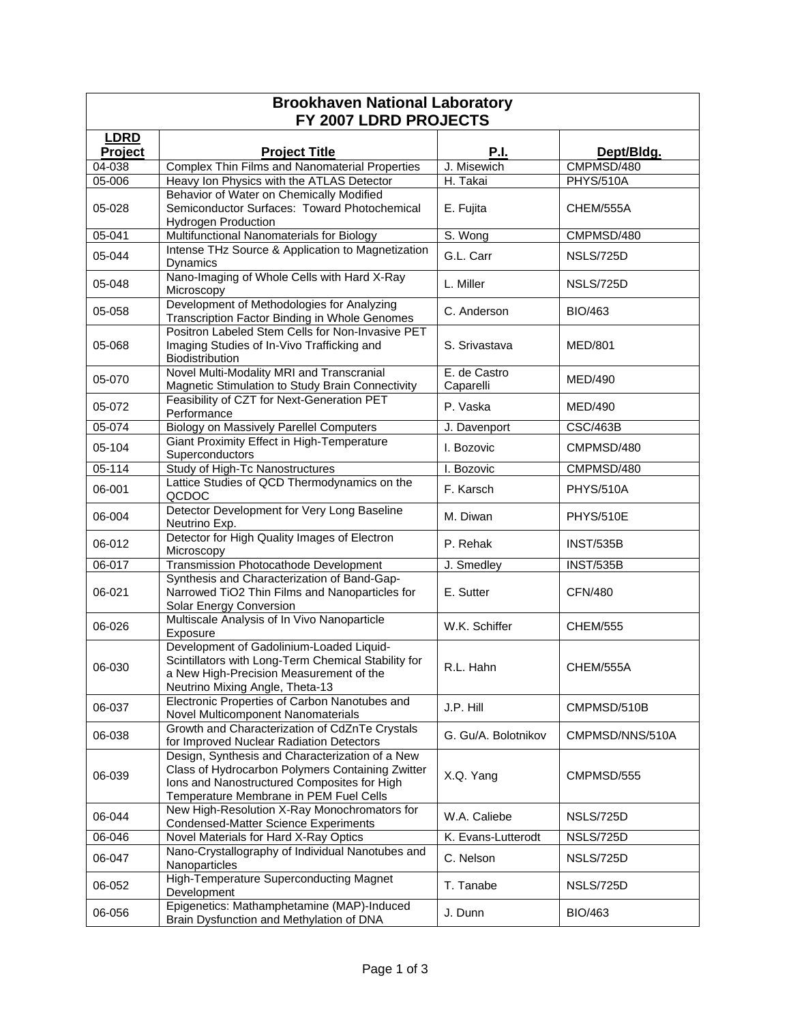| <b>Brookhaven National Laboratory</b><br>FY 2007 LDRD PROJECTS |                                                                                                                                                                                              |                           |                  |  |  |
|----------------------------------------------------------------|----------------------------------------------------------------------------------------------------------------------------------------------------------------------------------------------|---------------------------|------------------|--|--|
| <b>LDRD</b><br>Project                                         | <b>Project Title</b>                                                                                                                                                                         | <b>P.I.</b>               | Dept/Bldg.       |  |  |
| 04-038                                                         | Complex Thin Films and Nanomaterial Properties                                                                                                                                               | J. Misewich               | CMPMSD/480       |  |  |
| 05-006                                                         | Heavy Ion Physics with the ATLAS Detector                                                                                                                                                    | H. Takai                  | <b>PHYS/510A</b> |  |  |
| 05-028                                                         | Behavior of Water on Chemically Modified<br>Semiconductor Surfaces: Toward Photochemical<br><b>Hydrogen Production</b>                                                                       | E. Fujita                 | CHEM/555A        |  |  |
| $05 - 041$                                                     | Multifunctional Nanomaterials for Biology                                                                                                                                                    | S. Wong                   | CMPMSD/480       |  |  |
| 05-044                                                         | Intense THz Source & Application to Magnetization<br><b>Dynamics</b>                                                                                                                         | G.L. Carr                 | NSLS/725D        |  |  |
| 05-048                                                         | Nano-Imaging of Whole Cells with Hard X-Ray<br>Microscopy                                                                                                                                    | L. Miller                 | NSLS/725D        |  |  |
| 05-058                                                         | Development of Methodologies for Analyzing<br>Transcription Factor Binding in Whole Genomes                                                                                                  | C. Anderson               | BIO/463          |  |  |
| 05-068                                                         | Positron Labeled Stem Cells for Non-Invasive PET<br>Imaging Studies of In-Vivo Trafficking and<br>Biodistribution                                                                            | S. Srivastava             | <b>MED/801</b>   |  |  |
| 05-070                                                         | Novel Multi-Modality MRI and Transcranial<br>Magnetic Stimulation to Study Brain Connectivity                                                                                                | E. de Castro<br>Caparelli | MED/490          |  |  |
| 05-072                                                         | Feasibility of CZT for Next-Generation PET<br>Performance                                                                                                                                    | P. Vaska                  | MED/490          |  |  |
| 05-074                                                         | <b>Biology on Massively Parellel Computers</b>                                                                                                                                               | J. Davenport              | <b>CSC/463B</b>  |  |  |
| 05-104                                                         | Giant Proximity Effect in High-Temperature<br>Superconductors                                                                                                                                | I. Bozovic                | CMPMSD/480       |  |  |
| 05-114                                                         | Study of High-Tc Nanostructures                                                                                                                                                              | I. Bozovic                | CMPMSD/480       |  |  |
| 06-001                                                         | Lattice Studies of QCD Thermodynamics on the<br>QCDOC                                                                                                                                        | F. Karsch                 | <b>PHYS/510A</b> |  |  |
| 06-004                                                         | Detector Development for Very Long Baseline<br>Neutrino Exp.                                                                                                                                 | M. Diwan                  | PHYS/510E        |  |  |
| 06-012                                                         | Detector for High Quality Images of Electron<br>Microscopy                                                                                                                                   | P. Rehak                  | <b>INST/535B</b> |  |  |
| 06-017                                                         | Transmission Photocathode Development                                                                                                                                                        | J. Smedley                | <b>INST/535B</b> |  |  |
| 06-021                                                         | Synthesis and Characterization of Band-Gap-<br>Narrowed TiO2 Thin Films and Nanoparticles for<br>Solar Energy Conversion                                                                     | E. Sutter                 | <b>CFN/480</b>   |  |  |
| 06-026                                                         | Multiscale Analysis of In Vivo Nanoparticle<br>Exposure                                                                                                                                      | W.K. Schiffer             | <b>CHEM/555</b>  |  |  |
| 06-030                                                         | Development of Gadolinium-Loaded Liquid-<br>Scintillators with Long-Term Chemical Stability for<br>a New High-Precision Measurement of the<br>Neutrino Mixing Angle, Theta-13                | R.L. Hahn                 | <b>CHEM/555A</b> |  |  |
| 06-037                                                         | Electronic Properties of Carbon Nanotubes and<br>Novel Multicomponent Nanomaterials                                                                                                          | J.P. Hill                 | CMPMSD/510B      |  |  |
| 06-038                                                         | Growth and Characterization of CdZnTe Crystals<br>for Improved Nuclear Radiation Detectors                                                                                                   | G. Gu/A. Bolotnikov       | CMPMSD/NNS/510A  |  |  |
| 06-039                                                         | Design, Synthesis and Characterization of a New<br>Class of Hydrocarbon Polymers Containing Zwitter<br>Ions and Nanostructured Composites for High<br>Temperature Membrane in PEM Fuel Cells | X.Q. Yang                 | CMPMSD/555       |  |  |
| 06-044                                                         | New High-Resolution X-Ray Monochromators for<br><b>Condensed-Matter Science Experiments</b>                                                                                                  | W.A. Caliebe              | NSLS/725D        |  |  |
| 06-046                                                         | Novel Materials for Hard X-Ray Optics                                                                                                                                                        | K. Evans-Lutterodt        | NSLS/725D        |  |  |
| 06-047                                                         | Nano-Crystallography of Individual Nanotubes and<br>Nanoparticles                                                                                                                            | C. Nelson                 | NSLS/725D        |  |  |
| 06-052                                                         | High-Temperature Superconducting Magnet<br>Development                                                                                                                                       | T. Tanabe                 | NSLS/725D        |  |  |
| 06-056                                                         | Epigenetics: Mathamphetamine (MAP)-Induced<br>Brain Dysfunction and Methylation of DNA                                                                                                       | J. Dunn                   | <b>BIO/463</b>   |  |  |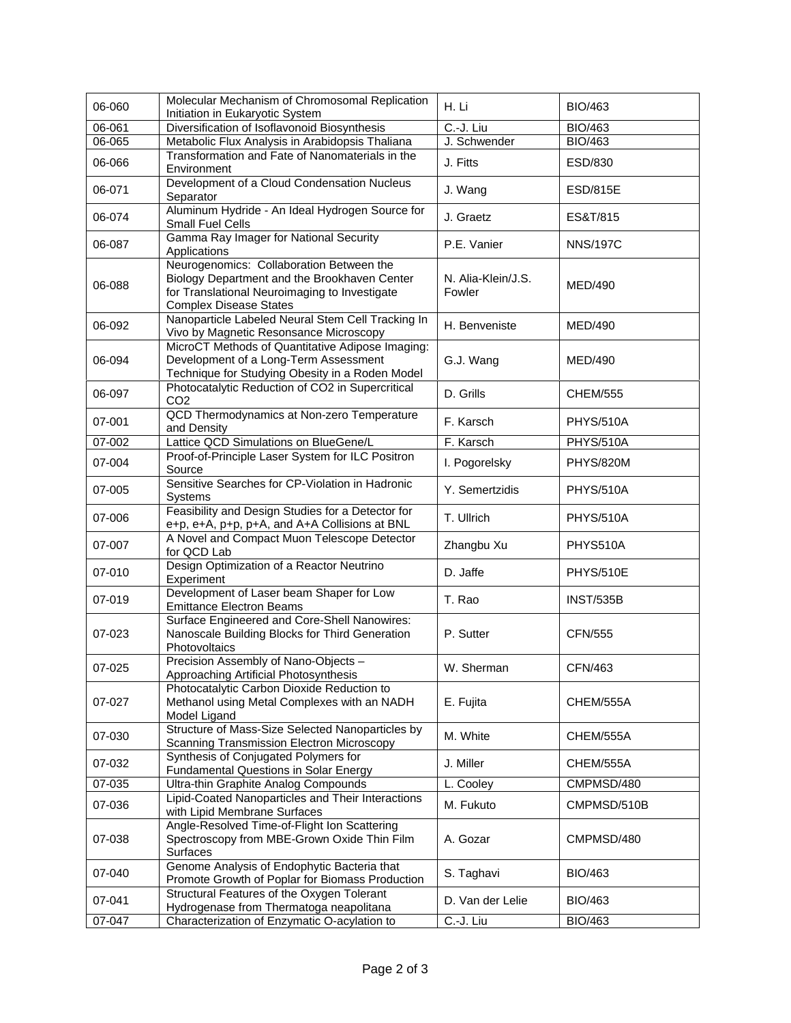| 06-060     | Molecular Mechanism of Chromosomal Replication<br>Initiation in Eukaryotic System                                                                                          | H. Li                        | <b>BIO/463</b>   |
|------------|----------------------------------------------------------------------------------------------------------------------------------------------------------------------------|------------------------------|------------------|
| 06-061     | Diversification of Isoflavonoid Biosynthesis                                                                                                                               | $\overline{C.-J}$ . Liu      | <b>BIO/463</b>   |
| $06 - 065$ | Metabolic Flux Analysis in Arabidopsis Thaliana                                                                                                                            | J. Schwender                 | <b>BIO/463</b>   |
| 06-066     | Transformation and Fate of Nanomaterials in the<br>Environment                                                                                                             | J. Fitts                     | ESD/830          |
| 06-071     | Development of a Cloud Condensation Nucleus<br>Separator                                                                                                                   | J. Wang                      | <b>ESD/815E</b>  |
| 06-074     | Aluminum Hydride - An Ideal Hydrogen Source for<br>Small Fuel Cells                                                                                                        | J. Graetz                    | ES&T/815         |
| 06-087     | Gamma Ray Imager for National Security<br>Applications                                                                                                                     | P.E. Vanier                  | <b>NNS/197C</b>  |
| 06-088     | Neurogenomics: Collaboration Between the<br>Biology Department and the Brookhaven Center<br>for Translational Neuroimaging to Investigate<br><b>Complex Disease States</b> | N. Alia-Klein/J.S.<br>Fowler | <b>MED/490</b>   |
| 06-092     | Nanoparticle Labeled Neural Stem Cell Tracking In<br>Vivo by Magnetic Resonsance Microscopy                                                                                | H. Benveniste                | MED/490          |
| 06-094     | MicroCT Methods of Quantitative Adipose Imaging:<br>Development of a Long-Term Assessment<br>Technique for Studying Obesity in a Roden Model                               | G.J. Wang                    | <b>MED/490</b>   |
| 06-097     | Photocatalytic Reduction of CO2 in Supercritical<br>CO <sub>2</sub>                                                                                                        | D. Grills                    | <b>CHEM/555</b>  |
| 07-001     | QCD Thermodynamics at Non-zero Temperature<br>and Density                                                                                                                  | F. Karsch                    | <b>PHYS/510A</b> |
| 07-002     | Lattice QCD Simulations on BlueGene/L                                                                                                                                      | F. Karsch                    | <b>PHYS/510A</b> |
| 07-004     | Proof-of-Principle Laser System for ILC Positron<br>Source                                                                                                                 | I. Pogorelsky                | <b>PHYS/820M</b> |
| 07-005     | Sensitive Searches for CP-Violation in Hadronic<br>Systems                                                                                                                 | Y. Semertzidis               | PHYS/510A        |
| 07-006     | Feasibility and Design Studies for a Detector for<br>e+p, e+A, p+p, p+A, and A+A Collisions at BNL                                                                         | T. Ullrich                   | <b>PHYS/510A</b> |
| 07-007     | A Novel and Compact Muon Telescope Detector<br>for QCD Lab                                                                                                                 | Zhangbu Xu                   | PHYS510A         |
| 07-010     | Design Optimization of a Reactor Neutrino<br>Experiment                                                                                                                    | D. Jaffe                     | PHYS/510E        |
| 07-019     | Development of Laser beam Shaper for Low<br><b>Emittance Electron Beams</b>                                                                                                | T. Rao                       | <b>INST/535B</b> |
| 07-023     | Surface Engineered and Core-Shell Nanowires:<br>Nanoscale Building Blocks for Third Generation<br>Photovoltaics                                                            | P. Sutter                    | <b>CFN/555</b>   |
| 07-025     | Precision Assembly of Nano-Objects -<br>Approaching Artificial Photosynthesis                                                                                              | W. Sherman                   | CFN/463          |
| 07-027     | Photocatalytic Carbon Dioxide Reduction to<br>Methanol using Metal Complexes with an NADH<br>Model Ligand                                                                  | E. Fujita                    | CHEM/555A        |
| 07-030     | Structure of Mass-Size Selected Nanoparticles by<br>Scanning Transmission Electron Microscopy                                                                              | M. White                     | CHEM/555A        |
| 07-032     | Synthesis of Conjugated Polymers for<br><b>Fundamental Questions in Solar Energy</b>                                                                                       | J. Miller                    | CHEM/555A        |
| 07-035     | Ultra-thin Graphite Analog Compounds                                                                                                                                       | L. Cooley                    | CMPMSD/480       |
| 07-036     | Lipid-Coated Nanoparticles and Their Interactions<br>with Lipid Membrane Surfaces                                                                                          | M. Fukuto                    | CMPMSD/510B      |
| 07-038     | Angle-Resolved Time-of-Flight Ion Scattering<br>Spectroscopy from MBE-Grown Oxide Thin Film<br>Surfaces                                                                    | A. Gozar                     | CMPMSD/480       |
| 07-040     | Genome Analysis of Endophytic Bacteria that<br>Promote Growth of Poplar for Biomass Production                                                                             | S. Taghavi                   | <b>BIO/463</b>   |
| 07-041     | Structural Features of the Oxygen Tolerant<br>Hydrogenase from Thermatoga neapolitana                                                                                      | D. Van der Lelie             | <b>BIO/463</b>   |
| 07-047     | Characterization of Enzymatic O-acylation to                                                                                                                               | C.-J. Liu                    | <b>BIO/463</b>   |